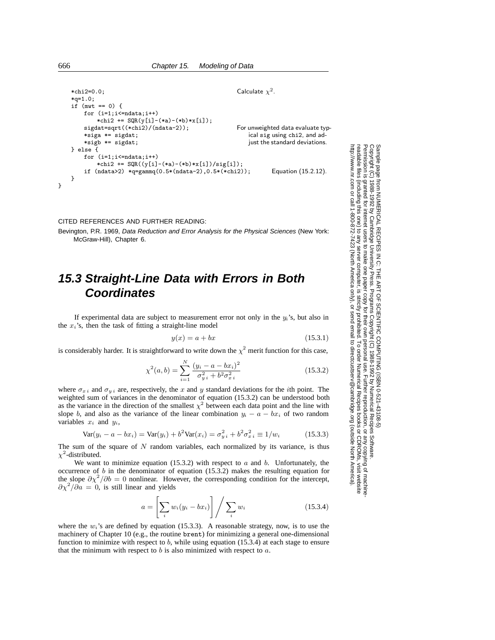```
*chi2=0.0; Calculate \chi^2.
   *q=1.0;
   if (mwt == 0) {
       for (i=1;i\leq =ndata;i++)*chi2 += SQR(y[i]-(*a)-(*b)*x[i]);
       sigdat=sqrt((*chi2)/(ndata-2)); For unweighted data evaluate typ-
                                                     ical sig using chi2, and ad-
                                                     just the standard deviations.
       *siga *= sigdat;
       *sigb *= sigdat;
   } else {
       for (i=1;i<=ndata;i++)
           *chi2 += SQR((y[i]-(*a)-(*b)*x[i])/sig[i]);
       if (ndata>2) *q=gammq(0.5*(ndata-2),0.5*(*chi2)); Equation (15.2.12).
   }
}
```
CITED REFERENCES AND FURTHER READING:

Bevington, P.R. 1969, Data Reduction and Error Analysis for the Physical Sciences (New York: McGraw-Hill), Chapter 6.

## **15.3 Straight-Line Data with Errors in Both Coordinates**

If experimental data are subject to measurement error not only in the  $y_i$ 's, but also in the  $x_i$ 's, then the task of fitting a straight-line model

$$
y(x) = a + bx \tag{15.3.1}
$$

is considerably harder. It is straightforward to write down the  $\chi^2$  merit function for this case,

$$
\chi^{2}(a,b) = \sum_{i=1}^{N} \frac{(y_i - a - bx_i)^2}{\sigma_{y,i}^2 + b^2 \sigma_{x,i}^2}
$$
\n(15.3.2)

where  $\sigma_{x i}$  and  $\sigma_{y i}$  are, respectively, the x and y standard deviations for the *i*th point. The weighted sum of variances in the denominator of equation (15.3.2) can be understood both as the variance in the direction of the smallest  $\chi^2$  between each data point and the line with slope b, and also as the variance of the linear combination  $y_i - a - bx_i$  of two random variables  $x_i$  and  $y_i$ ,

$$
Var(y_i - a - bx_i) = Var(y_i) + b^2 Var(x_i) = \sigma_{y_i}^2 + b^2 \sigma_{x_i}^2 \equiv 1/w_i
$$
 (15.3.3)

The sum of the square of  $N$  random variables, each normalized by its variance, is thus  $\chi^2$ -distributed.

We want to minimize equation (15.3.2) with respect to  $\alpha$  and  $\beta$ . Unfortunately, the occurrence of  $b$  in the denominator of equation (15.3.2) makes the resulting equation for the slope  $\partial \chi^2/\partial b = 0$  nonlinear. However, the corresponding condition for the intercept,  $\partial \chi^2/\partial a = 0$ , is still linear and yields

$$
a = \left[\sum_{i} w_i (y_i - bx_i)\right] / \sum_{i} w_i
$$
 (15.3.4)

where the  $w_i$ 's are defined by equation (15.3.3). A reasonable strategy, now, is to use the machinery of Chapter 10 (e.g., the routine brent) for minimizing a general one-dimensional function to minimize with respect to  $b$ , while using equation (15.3.4) at each stage to ensure that the minimum with respect to  $b$  is also minimized with respect to  $a$ .

Permission is granted for internet users to make one paper copy for their own personal use. Further reproduction, or any copyin Copyright (C) 1988-1992 by Cambridge University Press.Programs Copyright (C) 1988-1992 by Numerical Recipes Software. g of machinereadable files (including this one) to any servercomputer, is strictly prohibited. To order Numerical Recipes booksor CDROMs, visit website http://www.nr.com or call 1-800-872-7423 (North America only),or send email to directcustserv@cambridge.org (outside North America).

Sample page from NUMERICAL RECIPES IN C: THE ART OF SCIENTIFIC COMPUTING (ISBN 0-521-43108-5)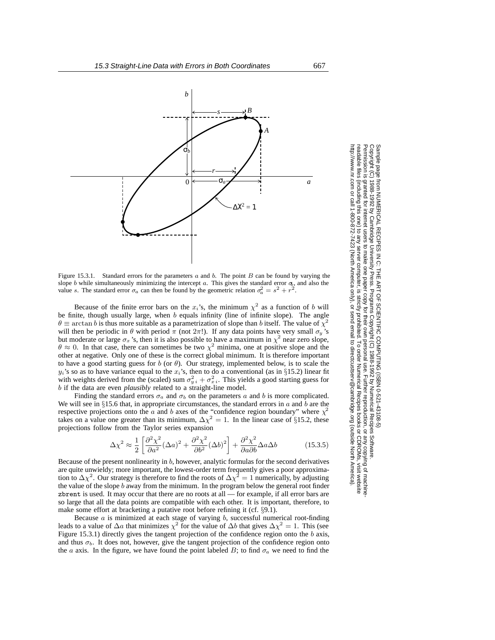

Figure 15.3.1. Standard errors for the parameters  $a$  and  $b$ . The point  $B$  can be found by varying the slope b while simultaneously minimizing the intercept  $\alpha$ . This gives the standard error  $\sigma$ , and also the value s. The standard error  $\sigma_a$  can then be found by the geometric relation  $\sigma_a^2 = s^2 + r^2$ .

Because of the finite error bars on the  $x_i$ 's, the minimum  $\chi^2$  as a function of b will be finite, though usually large, when b equals infinity (line of infinite slope). The angle  $\theta \equiv \arctan b$  is thus more suitable as a parametrization of slope than b itself. The value of  $\chi^2$ will then be periodic in  $\theta$  with period  $\pi$  (not  $2\pi$ !). If any data points have very small  $\sigma_y$ 's but moderate or large  $\sigma_x$ 's, then it is also possible to have a maximum in  $\chi^2$  near zero slope,  $\theta \approx 0$ . In that case, there can sometimes be two  $\chi^2$  minima, one at positive slope and the other at negative. Only one of these is the correct global minimum. It is therefore important to have a good starting guess for  $b$  (or  $\theta$ ). Our strategy, implemented below, is to scale the  $y_i$ 's so as to have variance equal to the  $x_i$ 's, then to do a conventional (as in §15.2) linear fit with weights derived from the (scaled) sum  $\sigma_{y_i}^2 + \sigma_{x_i}^2$ . This yields a good starting guess for b if the data are even *plausibly* related to a straight-line model.

Finding the standard errors  $\sigma_a$  and  $\sigma_b$  on the parameters a and b is more complicated. We will see in §15.6 that, in appropriate circumstances, the standard errors in  $a$  and  $\overline{b}$  are the respective projections onto the a and b axes of the "confidence region boundary" where  $\chi^2$ takes on a value one greater than its minimum,  $\Delta \chi^2 = 1$ . In the linear case of §15.2, these projections follow from the Taylor series expansion

$$
\Delta \chi^2 \approx \frac{1}{2} \left[ \frac{\partial^2 \chi^2}{\partial a^2} (\Delta a)^2 + \frac{\partial^2 \chi^2}{\partial b^2} (\Delta b)^2 \right] + \frac{\partial^2 \chi^2}{\partial a \partial b} \Delta a \Delta b \tag{15.3.5}
$$

Because of the present nonlinearity in  $b$ , however, analytic formulas for the second derivatives are quite unwieldy; more important, the lowest-order term frequently gives a poor approximation to  $\Delta \chi^2$ . Our strategy is therefore to find the roots of  $\Delta \chi^2 = 1$  numerically, by adjusting the value of the slope b away from the minimum. In the program below the general root finder zbrent is used. It may occur that there are no roots at all — for example, if all error bars are so large that all the data points are compatible with each other. It is important, therefore, to make some effort at bracketing a putative root before refining it (cf. §9.1).

Because  $a$  is minimized at each stage of varying  $b$ , successful numerical root-finding leads to a value of  $\Delta a$  that minimizes  $\chi^2$  for the value of  $\Delta b$  that gives  $\Delta \chi^2 = 1$ . This (see Figure 15.3.1) directly gives the tangent projection of the confidence region onto the  $b$  axis, and thus  $\sigma_b$ . It does not, however, give the tangent projection of the confidence region onto the a axis. In the figure, we have found the point labeled B; to find  $\sigma_a$  we need to find the

Copyright (C) 1988-1992 by Cambridge University Press.http://www.nr.com or call 1-800-872-7423 (North America only),readable files (including this one) to any serverPermission is granted for internet users to make one paper copy for their own personal use. Further reproduction, or any copyin Copyright ttp://www.nr.com or call 1-800-872-7423 (North America only), or send email to directcustserv@cambridge.org (outside North America) sample page from NUMERICAL RECIPES IN C: THE ART OF SCIENTIFIC COMPUTING (ISBN 0-521-43108-5)<br>Copyright (C) 1988-1992 by Cambridge University Press. Programs Copyright (C) 1988-1992 by Numerical Recipes Software. computer, is strictly prohibited. To order Numerical Recipes booksPrograms Copyright (C) 1988-1992 by Numerical Recipes Software. or send email to directcustserv@cambridge.org (outside North America). or CDROMs, visit website g of machine-

Sample page from NUMERICAL RECIPES IN C: THE ART OF SCIENTIFIC COMPUTING (ISBN 0-521-43108-5)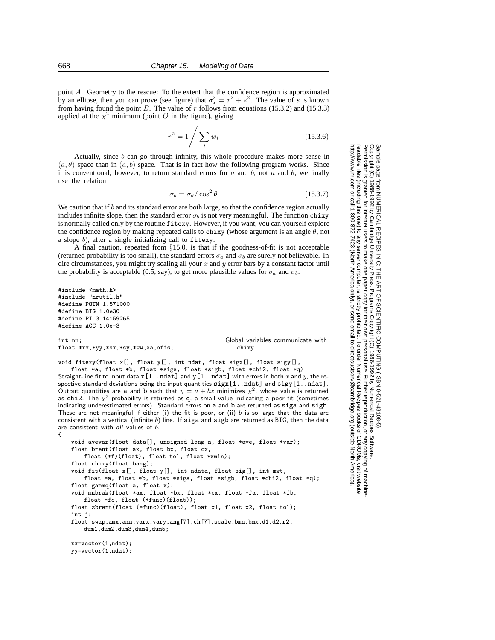point A. Geometry to the rescue: To the extent that the confidence region is approximated by an ellipse, then you can prove (see figure) that  $\sigma_a^2 = r^2 + s^2$ . The value of s is known from having found the point B. The value of r follows from equations (15.3.2) and (15.3.3) applied at the  $\chi^2$  minimum (point O in the figure), giving

$$
r^2 = 1 / \sum_{i} w_i
$$
 (15.3.6)

Actually, since  $b$  can go through infinity, this whole procedure makes more sense in  $(a, \theta)$  space than in  $(a, b)$  space. That is in fact how the following program works. Since it is conventional, however, to return standard errors for a and b, not a and  $\theta$ , we finally use the relation

$$
\sigma_b = \sigma_\theta / \cos^2 \theta \tag{15.3.7}
$$

We caution that if b and its standard error are both large, so that the confidence region actually includes infinite slope, then the standard error  $\sigma_b$  is not very meaningful. The function chixy is normally called only by the routine fitexy. However, if you want, you can yourself explore the confidence region by making repeated calls to chixy (whose argument is an angle  $\theta$ , not a slope b), after a single initializing call to fitexy.

A final caution, repeated from §15.0, is that if the goodness-of-fit is not acceptable (returned probability is too small), the standard errors  $\sigma_a$  and  $\sigma_b$  are surely not believable. In dire circumstances, you might try scaling all your  $x$  and  $y$  error bars by a constant factor until the probability is acceptable (0.5, say), to get more plausible values for  $\sigma_a$  and  $\sigma_b$ .

```
#include <math.h>
#include "nrutil.h"
#define POTN 1.571000
#define BIG 1.0e30
#define PI 3.14159265
#define ACC 1.0e-3
```
float \*xx,\*yy,\*sx,\*sy,\*ww,aa,offs;

int nn;<br>
float \*xx,\*yy,\*sx,\*sy,\*ww,aa,offs;<br>
chixy.<br>
chixy.

void fitexy(float x[], float y[], int ndat, float sigx[], float sigy[],

float \*a, float \*b, float \*siga, float \*sigb, float \*chi2, float \*q) Straight-line fit to input data  $x[1..ndat]$  and  $y[1..ndat]$  with errors in both  $x$  and  $y$ , the respective standard deviations being the input quantities  $\text{sigx}[1 \dots \text{ndat}]$  and  $\text{sigy}[1 \dots \text{ndat}]$ . Output quantities are a and b such that  $y = a + bx$  minimizes  $\chi^2$ , whose value is returned as chi2. The  $\chi^2$  probability is returned as q, a small value indicating a poor fit (sometimes indicating underestimated errors). Standard errors on a and b are returned as siga and sigb. These are not meaningful if either (i) the fit is poor, or (ii)  $b$  is so large that the data are consistent with a vertical (infinite b) line. If siga and sigb are returned as BIG, then the data are consistent with *all* values of b. {

```
void avevar(float data[], unsigned long n, float *ave, float *var);
float brent(float ax, float bx, float cx,
   float (*f)(float), float tol, float *xmin);
float chixy(float bang);
void fit(float x[], float y[], int ndata, float sig[], int mwt,
   float *a, float *b, float *siga, float *sigb, float *chi2, float *q);
float gammq(float a, float x);
void mnbrak(float *ax, float *bx, float *cx, float *fa, float *fb,
   float *fc, float (*func)(float));
float zbrent(float (*func)(float), float x1, float x2, float tol);
int j;
float swap,amx,amn,varx,vary,ang[7],ch[7],scale,bmn,bmx,d1,d2,r2,
   dum1,dum2,dum3,dum4,dum5;
```
xx=vector(1,ndat); yy=vector(1,ndat);

Permission is granted for internet users to make one paper copy for their own personal use. Further reproduction, or any copyin Copyright (C) 1988-1992 by Cambridge University Press.Programs Copyright (C) 1988-1992 by Numerical Recipes Software. Sample page from NUMERICAL RECIPES IN C: THE ART OF SCIENTIFIC COMPUTING (ISBN 0-521-43108-5) g of machinereadable files (including this one) to any servercomputer, is strictly prohibited. To order Numerical Recipes booksor CDROMs, visit website http://www.nr.com or call 1-800-872-7423 (North America only),or send email to directcustserv@cambridge.org (outside North America).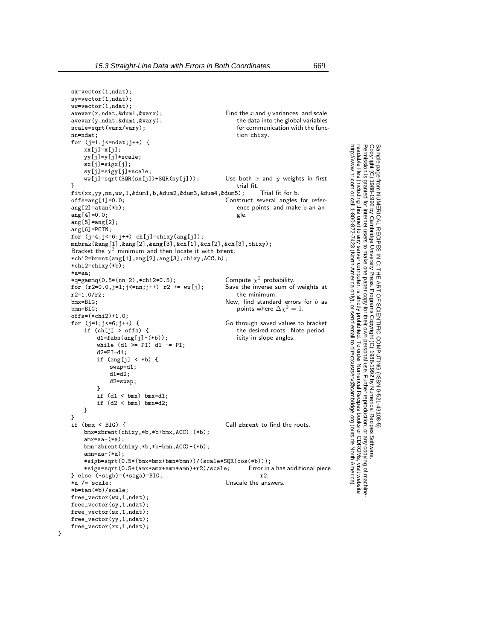Permission is granted for internet users to make one paper copy for their own personal use. Further reproduction, or any copyin

computer, is strictly prohibited. To order Numerical Recipes books

or send email to directcustserv@cambridge.org (outside North America).

Sample page from NUMERICAL RECIPES IN C: THE ART OF SCIENTIFIC COMPUTING (ISBN 0-521-43108-5)

Programs Copyright (C) 1988-1992 by Numerical Recipes Software.

g of machine-

or CDROMs, visit website

Copyright (C) 1988-1992 by Cambridge University Press.

readable files (including this one) to any server

http://www.nr.com or call 1-800-872-7423 (North America only),

```
sx=vector(1,ndat);
sy=vector(1,ndat);
ww=vector(1,ndat);<br>avevar(x,ndat,kdum1,kvarx);Find the x and y variances, and scale
                                                              the data into the global variables
                                                              for communication with the func-
                                                              tion chixy.
avevar(y,ndat,&dum1,&vary);
scale=sqrt(varx/vary);
nn=ndat;
for (j=1;j<=ndat;j++) {
     xx[j]=x[j];yy[j]=y[j]*scale;
    sx[j]=sigx[j];sy[j]=sigy[j]*scale;
    ww[j]=sqrt(SQR(sx[j])+SQR(sy[j])); Use both x and y weights in first
} trial fit.
fit(xx,yy,nn,ww,1,&dum1,b,&dum2,&dum3,&dum4,&dum5); Trial fit for b.
offs=ang[1]=0.0; Construct several angles for refer-
                                                              ence points, and make b an an-
                                                              gle.
ang[2] = atan(*b);
ang[4]=0.0;
ang[5] = ang[2];
ang[6]=POTN;
for (j=4;j<=6;j++ ch[j]=chixy(ang[j]);
mnbrak(&ang[1],&ang[2],&ang[3],&ch[1],&ch[2],&ch[3],chixy);
Bracket the \chi^2 minimum and then locate it with brent.
*chi2=brent(ang[1],ang[2],ang[3],chixy,ACC,b);
*chi2=chixy(*b);
*a=aa;
*q=gammq(0.5*(nn-2),*chi2*0.5); Compute \chi^2 probability.<br>for (r2=0.0.i=1:i<=nn;i++) r2 += ww[j]; Save the inverse sum of weights at
for (r2=0.0,j=1;j<=nn;j++) r2 += ww[j];<br>r2=1.0/r2:
r2=1.0/r2; the minimum.<br>bmx=BIG: Now, find standar
bmx=BIG;<br>bmx=BIG;<br>bmn=BIG;<br>\text{Down};<br>\text{Down};<br>\text{Down};<br>\text{Down};<br>\text{Down};<br>\text{Down};<br>\text{Down};<br>\text{Down};<br>\text{Down};<br>\text{Down};<br>\text{Down};<br>\text{Down};<br>\text{Down};<br>\text{Down};<br>\text{Down};<br>\text{Down};<br>\text{Down};<br>\text{Down};<br>\text{Down};<br>\text{Down};<br>\text{Down};<br>\text{Downpoints where \Delta \chi^2 = 1.
offs=(*chi2)+1.0;<br>for (j=1;j<=6;j++) {
                                                         Go through saved values to bracket
                                                              the desired roots. Note period-
                                                              icity in slope angles.
     if (ch[i] > offs) {
         \mathtt{d1=fabs}(\mathtt{ang[j]}-(\ast\mathtt{b}));while (d1 > = PI) d1 - = PI;d2 = PI - d1;if (ang[j] < *b) {
              swap=d1;
              d1=d2;
              d2=swap;
         }
         if (d1 < bmx) bmx=d1;
         if (d2 < bmn) bmn=d2;
    }
}<br>if (bmx < BIG) {
                                                          Call zbrent to find the roots.
    bmx=zbrent(chixy,*b,*b+bmx,ACC)-(*b);
     amx=aa-(*a);
    bmn=zbrent(chixy,*b,*b-bmn,ACC)-(*b);
     amn=aa-(*a);
     *sigb=sqrt(0.5*(bmx*bmx+bmn*bmn))/(scale*SQR(cos(*b)));
     *siga=sqrt(0.5*(amx*amx+amn*amn)+r2)/scale; Error in a has additional piece
} else (*sigb) = (*siga) = BIG; *a /= scale;Unscale the answers.
*b=tan(*b)/scale;
free_vector(ww,1,ndat);
free_vector(sy,1,ndat);
free_vector(sx,1,ndat);
free_vector(yy,1,ndat);
free_vector(xx,1,ndat);
```
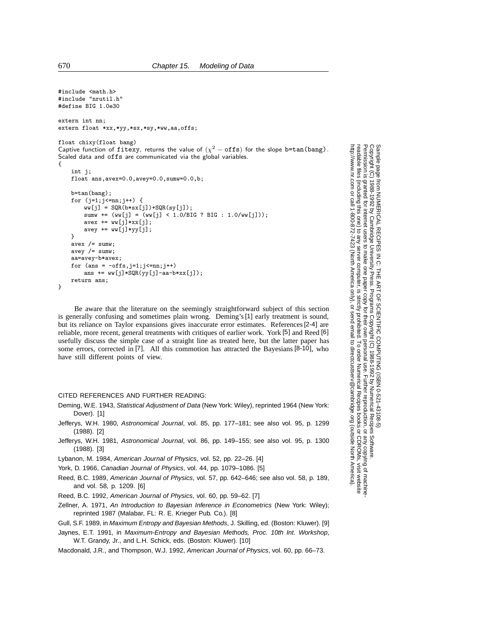```
#include <math.h>
#include "nrutil.h"
#define BIG 1.0e30
extern int nn;
extern float *xx,*yy,*sx,*sy,*ww,aa,offs;
float chixy(float bang)
Captive function of fitexy, returns the value of (\chi^2 - \text{offs}) for the slope b=tan(bang).
Scaled data and offs are communicated via the global variables.
{
    int i:
    float ans,avex=0.0,avey=0.0,sumw=0.0,b;
    b=tan(bang);
    for (j=1; j<=nn; j++) {
        ww[j] = SQR(b*sx[j])+SQR(sy[j]);sumw += (ww[j] = (ww[j] < 1.0/BIG ? BIG : 1.0/ww[j]));
        avex += ww[j] *xx[j];
        avey += ww[j]*yy[j];
    }
    avex / = sumw;
    avey / = sumw;
    aa=avey-b*avex;
    for (\text{ans} = -\text{offs}, j=1; j<=nn; j++)ans += ww[j]*SQR(yy[j]-aa-b*xx[j]);
    return ans;
}
```
Be aware that the literature on the seemingly straightforward subject of this section is generally confusing and sometimes plain wrong. Deming's[1] early treatment is sound, but its reliance on Taylor expansions gives inaccurate error estimates. References[2-4] are reliable, more recent, general treatments with critiques of earlier work. York [5] and Reed [6] usefully discuss the simple case of a straight line as treated here, but the latter paper has some errors, corrected in [7]. All this commotion has attracted the Bayesians [8-10], who have still different points of view.

## CITED REFERENCES AND FURTHER READING:

- Deming, W.E. 1943, Statistical Adjustment of Data (New York: Wiley), reprinted 1964 (New York: Dover). [1]
- Jefferys, W.H. 1980, Astronomical Journal, vol. 85, pp. 177–181; see also vol. 95, p. 1299 (1988). [2]
- Jefferys, W.H. 1981, Astronomical Journal, vol. 86, pp. 149–155; see also vol. 95, p. 1300 (1988). [3]
- Lybanon, M. 1984, American Journal of Physics, vol. 52, pp. 22–26. [4]
- York, D. 1966, Canadian Journal of Physics, vol. 44, pp. 1079–1086. [5]
- Reed, B.C. 1989, American Journal of Physics, vol. 57, pp. 642–646; see also vol. 58, p. 189, and vol. 58, p. 1209. [6]
- Reed, B.C. 1992, American Journal of Physics, vol. 60, pp. 59–62. [7]
- Zellner, A. 1971, An Introduction to Bayesian Inference in Econometrics (New York: Wiley); reprinted 1987 (Malabar, FL: R. E. Krieger Pub. Co.). [8]
- Gull, S.F. 1989, in Maximum Entropy and Bayesian Methods, J. Skilling, ed. (Boston: Kluwer). [9]
- Jaynes, E.T. 1991, in Maximum-Entropy and Bayesian Methods, Proc. 10th Int. Workshop, W.T. Grandy, Jr., and L.H. Schick, eds. (Boston: Kluwer). [10]
- Macdonald, J.R., and Thompson, W.J. 1992, American Journal of Physics, vol. 60, pp. 66–73.

Permission is granted for internet users to make one paper copy for their own personal use. Further reproduction, or any copyin Copyright (C) 1988-1992 by Cambridge University Press.Programs Copyright (C) 1988-1992 by Numerical Recipes Software. Sample page from NUMERICAL RECIPES IN C: THE ART OF SCIENTIFIC COMPUTING (ISBN 0-521-43108-5) g of machinereadable files (including this one) to any servercomputer, is strictly prohibited. To order Numerical Recipes booksor CDROMs, visit website http://www.nr.com or call 1-800-872-7423 (North America only),or send email to directcustserv@cambridge.org (outside North America).